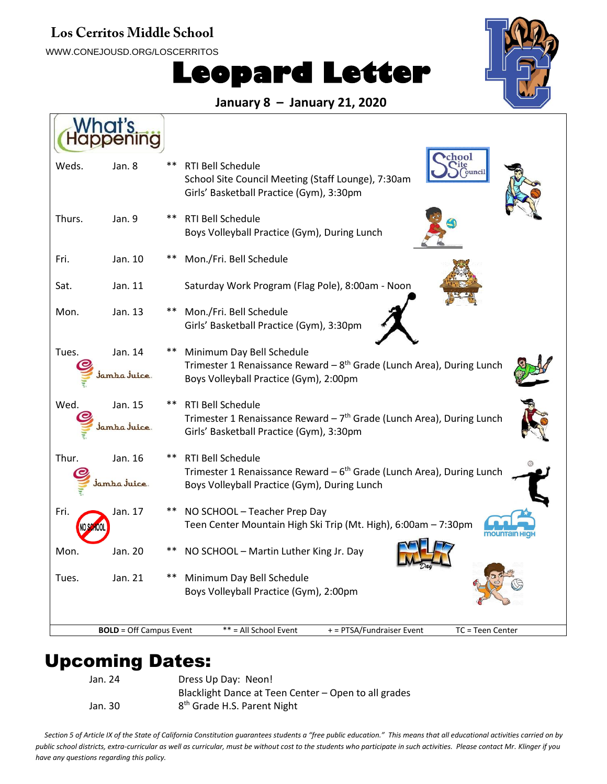#### Los Cerritos Middle School

WWW.CONEJOUSD.ORG/LOSCERRITOS

# **Leopard Letter**



#### **January 8 – January 21, 2020**

| Weds.                                                                                                    | Jan. 8                 | **    | chool<br><b>RTI Bell Schedule</b><br>School Site Council Meeting (Staff Lounge), 7:30am<br>Girls' Basketball Practice (Gym), 3:30pm                      |  |  |  |  |
|----------------------------------------------------------------------------------------------------------|------------------------|-------|----------------------------------------------------------------------------------------------------------------------------------------------------------|--|--|--|--|
| Thurs.                                                                                                   | Jan. 9                 | **    | RTI Bell Schedule<br>Boys Volleyball Practice (Gym), During Lunch                                                                                        |  |  |  |  |
| Fri.                                                                                                     | Jan. 10                | $***$ | Mon./Fri. Bell Schedule                                                                                                                                  |  |  |  |  |
| Sat.                                                                                                     | Jan. 11                |       | Saturday Work Program (Flag Pole), 8:00am - Noon                                                                                                         |  |  |  |  |
| Mon.                                                                                                     | Jan. 13                |       | Mon./Fri. Bell Schedule<br>Girls' Basketball Practice (Gym), 3:30pm                                                                                      |  |  |  |  |
| Tues.                                                                                                    | Jan. 14<br>İamba Juice |       | Minimum Day Bell Schedule<br>Trimester 1 Renaissance Reward - 8 <sup>th</sup> Grade (Lunch Area), During Lunch<br>Boys Volleyball Practice (Gym), 2:00pm |  |  |  |  |
| Wed.                                                                                                     | Jan. 15<br>amba Juice  |       | RTI Bell Schedule<br>Trimester 1 Renaissance Reward $-7th$ Grade (Lunch Area), During Lunch<br>Girls' Basketball Practice (Gym), 3:30pm                  |  |  |  |  |
| Thur.                                                                                                    | Jan. 16<br>amha Juice. |       | RTI Bell Schedule<br>Trimester 1 Renaissance Reward - 6 <sup>th</sup> Grade (Lunch Area), During Lunch<br>Boys Volleyball Practice (Gym), During Lunch   |  |  |  |  |
| Fri.                                                                                                     | Jan. 17                |       | NO SCHOOL - Teacher Prep Day<br>Teen Center Mountain High Ski Trip (Mt. High), 6:00am - 7:30pm<br>mountair                                               |  |  |  |  |
| Mon.                                                                                                     | Jan. 20                |       | NO SCHOOL - Martin Luther King Jr. Day                                                                                                                   |  |  |  |  |
| Tues.                                                                                                    | Jan. 21                |       | Minimum Day Bell Schedule<br>Boys Volleyball Practice (Gym), 2:00pm                                                                                      |  |  |  |  |
| <b>BOLD</b> = Off Campus Event<br>** = All School Event<br>+ = PTSA/Fundraiser Event<br>TC = Teen Center |                        |       |                                                                                                                                                          |  |  |  |  |

### Upcoming Dates:

Jan. 30

Jan. 24 Dress Up Day: Neon! Blacklight Dance at Teen Center – Open to all grades 8<sup>th</sup> Grade H.S. Parent Night

*Section 5 of Article IX of the State of California Constitution guarantees students a "free public education." This means that all educational activities carried on by public school districts, extra-curricular as well as curricular, must be without cost to the students who participate in such activities. Please contact Mr. Klinger if you have any questions regarding this policy.*